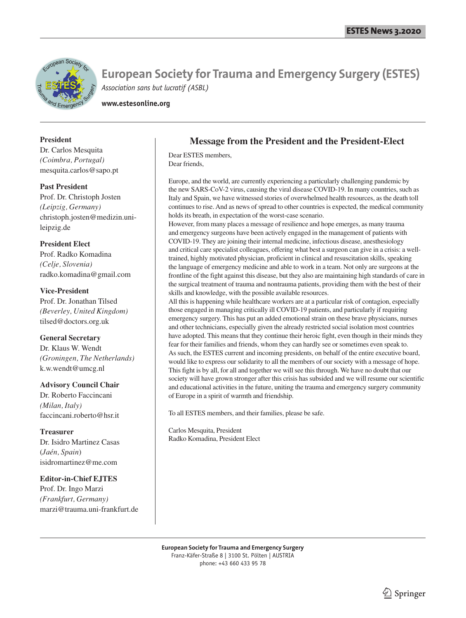

**European Society for Trauma and Emergency Surgery (ESTES)** *Association sans but lucratif (ASBL)*

**www.estesonline.org**

### **President**

Dr. Carlos Mesquita *(Coimbra, Portugal)* mesquita.carlos@sapo.pt

# **Past President**

Prof. Dr. Christoph Josten *(Leipzig, Germany)* christoph.josten@medizin.unileipzig.de

## **President Elect**

Prof. Radko Komadina *(Celje, Slovenia)* radko.komadina@gmail.com

# **Vice-President**

Prof. Dr. Jonathan Tilsed *(Beverley, United Kingdom)* tilsed@doctors.org.uk

# **General Secretary**

Dr. Klaus W. Wendt *(Groningen, The Netherlands)* k.w.wendt@umcg.nl

#### **Advisory Council Chair**

Dr. Roberto Faccincani *(Milan, Italy)* faccincani.roberto@hsr.it

**Treasurer** Dr. Isidro Martinez Casas (*Jaén, Spain*) isidromartinez@me.com

# **Editor-in-Chief EJTES**

Prof. Dr. Ingo Marzi *(Frankfurt, Germany)* marzi@trauma.uni-frankfurt.de

# **Message from the President and the President-Elect**

Dear ESTES members, Dear friends,

Europe, and the world, are currently experiencing a particularly challenging pandemic by the new SARS-CoV-2 virus, causing the viral disease COVID-19. In many countries, such as Italy and Spain, we have witnessed stories of overwhelmed health resources, as the death toll continues to rise. And as news of spread to other countries is expected, the medical community holds its breath, in expectation of the worst-case scenario.

However, from many places a message of resilience and hope emerges, as many trauma and emergency surgeons have been actively engaged in the management of patients with COVID-19. They are joining their internal medicine, infectious disease, anesthesiology and critical care specialist colleagues, offering what best a surgeon can give in a crisis: a welltrained, highly motivated physician, proficient in clinical and resuscitation skills, speaking the language of emergency medicine and able to work in a team. Not only are surgeons at the frontline of the fight against this disease, but they also are maintaining high standards of care in the surgical treatment of trauma and nontrauma patients, providing them with the best of their skills and knowledge, with the possible available resources.

All this is happening while healthcare workers are at a particular risk of contagion, especially those engaged in managing critically ill COVID-19 patients, and particularly if requiring emergency surgery. This has put an added emotional strain on these brave physicians, nurses and other technicians, especially given the already restricted social isolation most countries have adopted. This means that they continue their heroic fight, even though in their minds they fear for their families and friends, whom they can hardly see or sometimes even speak to. As such, the ESTES current and incoming presidents, on behalf of the entire executive board, would like to express our solidarity to all the members of our society with a message of hope. This fight is by all, for all and together we will see this through. We have no doubt that our society will have grown stronger after this crisis has subsided and we will resume our scientific and educational activities in the future, uniting the trauma and emergency surgery community of Europe in a spirit of warmth and friendship.

To all ESTES members, and their families, please be safe.

Carlos Mesquita, President Radko Komadina, President Elect